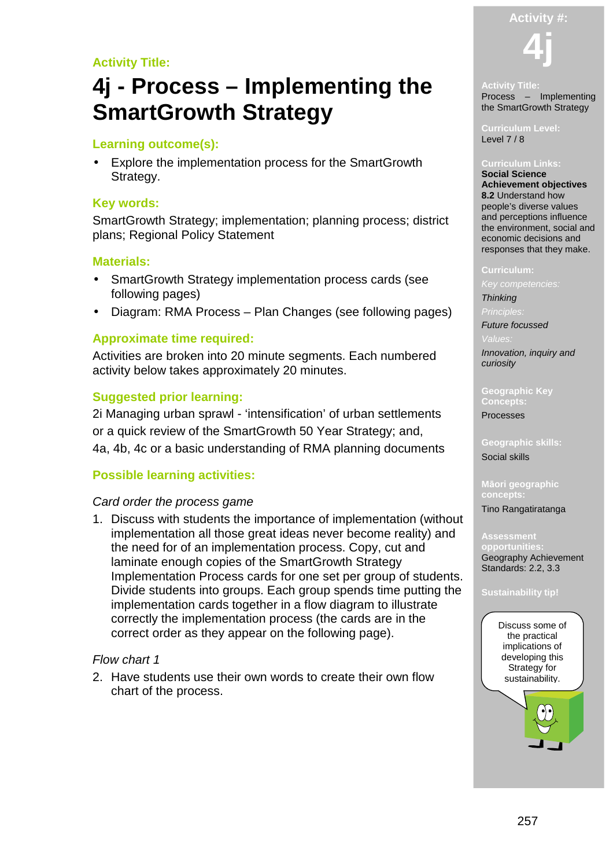**Activity #:**

# **Activity Title:**

# **4j - Process – Implementing the SmartGrowth Strategy**

# **Learning outcome(s):**

Explore the implementation process for the SmartGrowth Strategy.

#### **Key words:**

SmartGrowth Strategy; implementation; planning process; district plans; Regional Policy Statement

#### **Materials:**

- SmartGrowth Strategy implementation process cards (see following pages)
- Diagram: RMA Process Plan Changes (see following pages)

## **Approximate time required:**

Activities are broken into 20 minute segments. Each numbered activity below takes approximately 20 minutes.

## **Suggested prior learning:**

2i Managing urban sprawl - 'intensification' of urban settlements or a quick review of the SmartGrowth 50 Year Strategy; and, 4a, 4b, 4c or a basic understanding of RMA planning documents

## **Possible learning activities:**

#### Card order the process game

1. Discuss with students the importance of implementation (without implementation all those great ideas never become reality) and the need for of an implementation process. Copy, cut and laminate enough copies of the SmartGrowth Strategy Implementation Process cards for one set per group of students. Divide students into groups. Each group spends time putting the implementation cards together in a flow diagram to illustrate correctly the implementation process (the cards are in the correct order as they appear on the following page).

#### Flow chart 1

2. Have students use their own words to create their own flow chart of the process.



#### **Activity Title:**  Process – Implementing the SmartGrowth Strategy

**Curriculum Level:**  Level 7 / 8

#### **Curriculum Links:**

**Social Science Achievement objectives 8.2** Understand how people's diverse values and perceptions influence the environment, social and economic decisions and responses that they make.

#### **Curriculum:**

Key competencies:

**Thinking** 

Future focussed

Innovation, inquiry and curiosity

**Geographic Key Concepts:** 

Processes

**Geographic skills:**  Social skills

**Māori geographic concepts:**  Tino Rangatiratanga

**Assessment** 

**opportunities:**  Geography Achievement Standards: 2.2, 3.3

#### **Sustainability tip!**